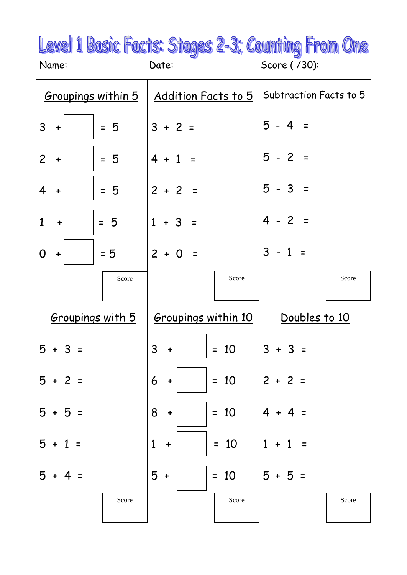|       |       | Level 1 Basic Facts: Stages 2-3; Counting From One |
|-------|-------|----------------------------------------------------|
| Name: | Date: | Score (/30):                                       |

|                                                                 | Groupings within 5   Addition Facts to 5   | Subtraction Facts to 5             |
|-----------------------------------------------------------------|--------------------------------------------|------------------------------------|
| 3<br>$= 5$<br>$\div$                                            | $3 + 2 =$                                  | $5 - 4 =$                          |
| $\overline{2}$<br>$= 5$<br>$\div$                               | $4 + 1$<br>$\equiv$                        | $5 - 2 =$                          |
| $\overline{4}$<br>$= 5$<br>$\boldsymbol{+}$                     | $2 + 2$<br>$\equiv$                        | $5 - 3 =$                          |
| $\mathbf{1}$<br>$= 5$<br>$\begin{array}{c} \bullet \end{array}$ | $1 + 3$<br>$\equiv$                        | $4 - 2$<br>$\equiv$                |
| $= 5$<br>0<br>$\boldsymbol{+}$                                  | $2 + 0$<br>$\equiv$                        | $\overline{3}$<br>$-1$<br>$\equiv$ |
| Score                                                           | Score                                      | Score                              |
|                                                                 | $Groupings$ with $5$   Groupings within 10 | Doubles to 10                      |
| $5 + 3 =$                                                       | 3<br>$= 10$<br>$\div$                      | $3 + 3 =$                          |
| $5 + 2 =$                                                       | 6<br>$= 10$                                | $2 + 2$                            |
| 5<br>$+5$<br>$\equiv$                                           | 8<br>$= 10$<br>$\ddot{}$                   | 4                                  |
| 5<br>1                                                          | $= 10$<br>$\mathbf{1}$<br>$\ddot{}$        | $\mathbf{1}$                       |
| 5                                                               | 5<br>10<br>$\equiv$<br>+                   | $5 + 5$                            |
| Score                                                           | Score                                      | Score                              |